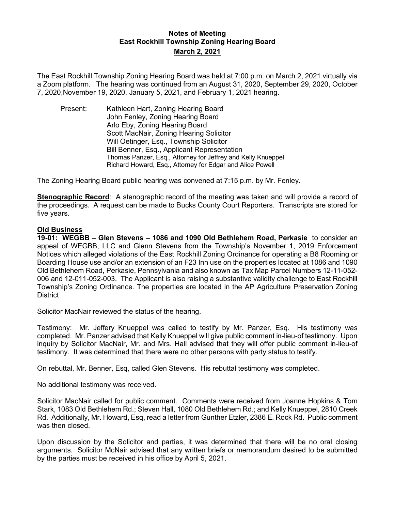## **Notes of Meeting East Rockhill Township Zoning Hearing Board March 2, 2021**

The East Rockhill Township Zoning Hearing Board was held at 7:00 p.m. on March 2, 2021 virtually via a Zoom platform. The hearing was continued from an August 31, 2020, September 29, 2020, October 7, 2020,November 19, 2020, January 5, 2021, and February 1, 2021 hearing.

Present: Kathleen Hart, Zoning Hearing Board John Fenley, Zoning Hearing Board Arlo Eby, Zoning Hearing Board Scott MacNair, Zoning Hearing Solicitor Will Oetinger, Esq., Township Solicitor Bill Benner, Esq., Applicant Representation Thomas Panzer, Esq., Attorney for Jeffrey and Kelly Knueppel Richard Howard, Esq., Attorney for Edgar and Alice Powell

The Zoning Hearing Board public hearing was convened at 7:15 p.m. by Mr. Fenley.

**Stenographic Record**: A stenographic record of the meeting was taken and will provide a record of the proceedings. A request can be made to Bucks County Court Reporters. Transcripts are stored for five years.

## **Old Business**

**19-01: WEGBB – Glen Stevens – 1086 and 1090 Old Bethlehem Road, Perkasie** to consider an appeal of WEGBB, LLC and Glenn Stevens from the Township's November 1, 2019 Enforcement Notices which alleged violations of the East Rockhill Zoning Ordinance for operating a B8 Rooming or Boarding House use and/or an extension of an F23 Inn use on the properties located at 1086 and 1090 Old Bethlehem Road, Perkasie, Pennsylvania and also known as Tax Map Parcel Numbers 12-11-052- 006 and 12-011-052-003. The Applicant is also raising a substantive validity challenge to East Rockhill Township's Zoning Ordinance. The properties are located in the AP Agriculture Preservation Zoning **District** 

Solicitor MacNair reviewed the status of the hearing.

Testimony: Mr. Jeffery Knueppel was called to testify by Mr. Panzer, Esq. His testimony was completed. Mr. Panzer advised that Kelly Knueppel will give public comment in-lieu-of testimony. Upon inquiry by Solicitor MacNair, Mr. and Mrs. Hall advised that they will offer public comment in-lieu-of testimony. It was determined that there were no other persons with party status to testify.

On rebuttal, Mr. Benner, Esq, called Glen Stevens. His rebuttal testimony was completed.

No additional testimony was received.

Solicitor MacNair called for public comment. Comments were received from Joanne Hopkins & Tom Stark, 1083 Old Bethlehem Rd.; Steven Hall, 1080 Old Bethlehem Rd.; and Kelly Knueppel, 2810 Creek Rd. Additionally, Mr. Howard, Esq, read a letter from Gunther Etzler, 2386 E. Rock Rd. Public comment was then closed.

Upon discussion by the Solicitor and parties, it was determined that there will be no oral closing arguments. Solicitor McNair advised that any written briefs or memorandum desired to be submitted by the parties must be received in his office by April 5, 2021.